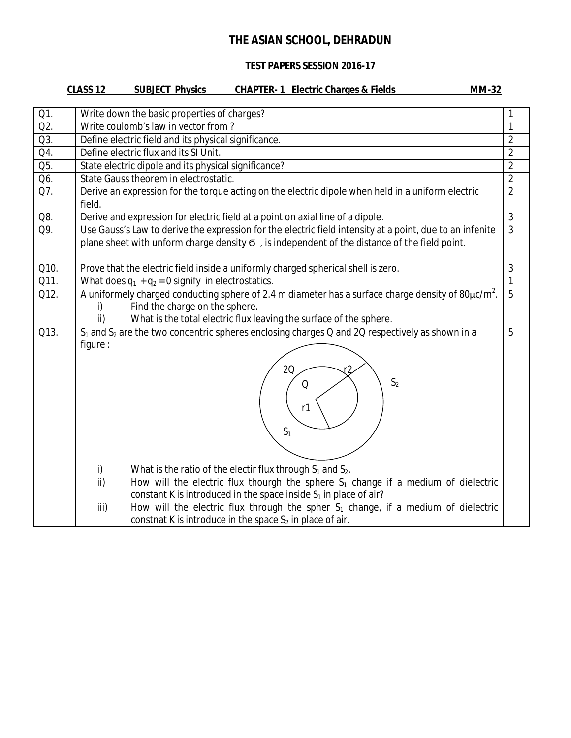### **TEST PAPERS SESSION 2016-17**

|      | <b>CLASS 12</b><br><b>SUBJECT Physics</b><br><b>CHAPTER-1 Electric Charges &amp; Fields</b><br><b>MM-32</b>                                                                                                                                                                                                                                                                                                |                |
|------|------------------------------------------------------------------------------------------------------------------------------------------------------------------------------------------------------------------------------------------------------------------------------------------------------------------------------------------------------------------------------------------------------------|----------------|
| Q1.  | Write down the basic properties of charges?                                                                                                                                                                                                                                                                                                                                                                | 1              |
| Q2.  | Write coulomb's law in vector from?                                                                                                                                                                                                                                                                                                                                                                        | $\mathbf{1}$   |
| Q3.  | Define electric field and its physical significance.                                                                                                                                                                                                                                                                                                                                                       | $\overline{2}$ |
| Q4.  | Define electric flux and its SI Unit.                                                                                                                                                                                                                                                                                                                                                                      | $\overline{2}$ |
| Q5.  | State electric dipole and its physical significance?                                                                                                                                                                                                                                                                                                                                                       | $\overline{2}$ |
| Q6.  | State Gauss theorem in electrostatic.                                                                                                                                                                                                                                                                                                                                                                      | $\overline{2}$ |
| Q7.  | Derive an expression for the torque acting on the electric dipole when held in a uniform electric<br>field.                                                                                                                                                                                                                                                                                                | $\overline{2}$ |
| Q8.  | Derive and expression for electric field at a point on axial line of a dipole.                                                                                                                                                                                                                                                                                                                             | $\overline{3}$ |
| Q9.  | Use Gauss's Law to derive the expression for the electric field intensity at a point, due to an infenite<br>plane sheet with unform charge density 6, is independent of the distance of the field point.                                                                                                                                                                                                   | $\overline{3}$ |
| Q10. | Prove that the electric field inside a uniformly charged spherical shell is zero.                                                                                                                                                                                                                                                                                                                          | $\mathfrak{Z}$ |
| Q11. | What does $q_1 + q_2 = 0$ signify in electrostatics.                                                                                                                                                                                                                                                                                                                                                       | $\overline{1}$ |
| Q12. | A uniformely charged conducting sphere of 2.4 m diameter has a surface charge density of 80 $\mu$ c/m <sup>2</sup> .<br>Find the charge on the sphere.<br>i)<br>ii)<br>What is the total electric flux leaving the surface of the sphere.                                                                                                                                                                  | $\overline{5}$ |
| Q13. | $S_1$ and $S_2$ are the two concentric spheres enclosing charges Q and 2Q respectively as shown in a<br>figure :<br>20<br>S <sub>2</sub><br>Q<br>r1<br>S <sub>1</sub>                                                                                                                                                                                                                                      | 5              |
|      | What is the ratio of the electir flux through $S_1$ and $S_2$ .<br>i)<br>ii)<br>How will the electric flux thourgh the sphere $S_1$ change if a medium of dielectric<br>constant K is introduced in the space inside $S_1$ in place of air?<br>How will the electric flux through the spher $S_1$ change, if a medium of dielectric<br>iii)<br>constnat K is introduce in the space $S_2$ in place of air. |                |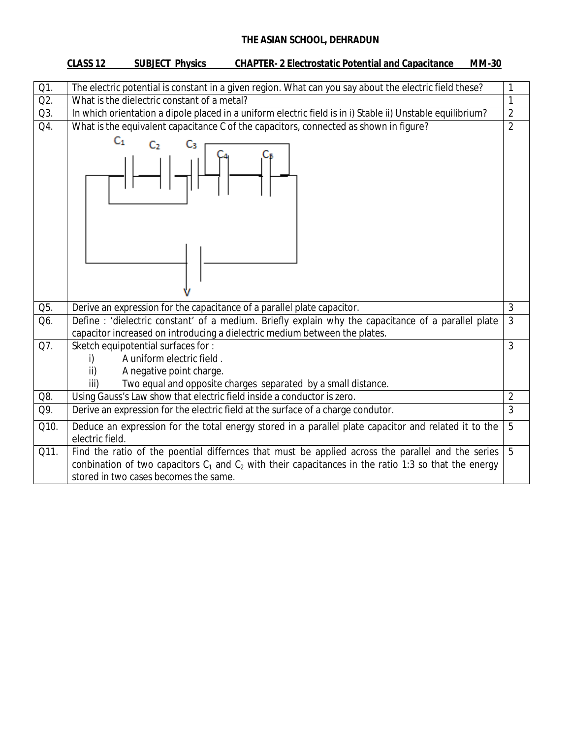|        | <b>CHAPTER- 2 Electrostatic Potential and Capacitance</b><br>CLASS <sub>12</sub><br><b>SUBJECT Physics</b><br><b>MM-30</b>                                                                                                                              |                |
|--------|---------------------------------------------------------------------------------------------------------------------------------------------------------------------------------------------------------------------------------------------------------|----------------|
|        |                                                                                                                                                                                                                                                         |                |
| $Q1$ . | The electric potential is constant in a given region. What can you say about the electric field these?                                                                                                                                                  | 1              |
| Q2.    | What is the dielectric constant of a metal?                                                                                                                                                                                                             | $\mathbf{1}$   |
| Q3.    | In which orientation a dipole placed in a uniform electric field is in i) Stable ii) Unstable equilibrium?                                                                                                                                              | $\overline{2}$ |
| Q4.    | What is the equivalent capacitance C of the capacitors, connected as shown in figure?                                                                                                                                                                   | $\overline{2}$ |
|        | $C_1$<br>C <sub>2</sub>                                                                                                                                                                                                                                 |                |
| Q5.    | Derive an expression for the capacitance of a parallel plate capacitor.                                                                                                                                                                                 | $\overline{3}$ |
| Q6.    | Define: 'dielectric constant' of a medium. Briefly explain why the capacitance of a parallel plate                                                                                                                                                      | $\overline{3}$ |
|        | capacitor increased on introducing a dielectric medium between the plates.                                                                                                                                                                              |                |
| Q7.    | Sketch equipotential surfaces for:                                                                                                                                                                                                                      | $\overline{3}$ |
|        | A uniform electric field.<br>i)                                                                                                                                                                                                                         |                |
|        | A negative point charge.<br>ii)                                                                                                                                                                                                                         |                |
|        | Two equal and opposite charges separated by a small distance.<br>iii)                                                                                                                                                                                   |                |
| Q8.    | Using Gauss's Law show that electric field inside a conductor is zero.                                                                                                                                                                                  | $\overline{c}$ |
| Q9.    | $\overline{3}$<br>Derive an expression for the electric field at the surface of a charge condutor.                                                                                                                                                      |                |
| Q10.   | $\overline{5}$<br>Deduce an expression for the total energy stored in a parallel plate capacitor and related it to the<br>electric field.                                                                                                               |                |
| Q11.   | Find the ratio of the poential differnces that must be applied across the parallel and the series<br>conbination of two capacitors $C_1$ and $C_2$ with their capacitances in the ratio 1:3 so that the energy<br>stored in two cases becomes the same. | $\overline{5}$ |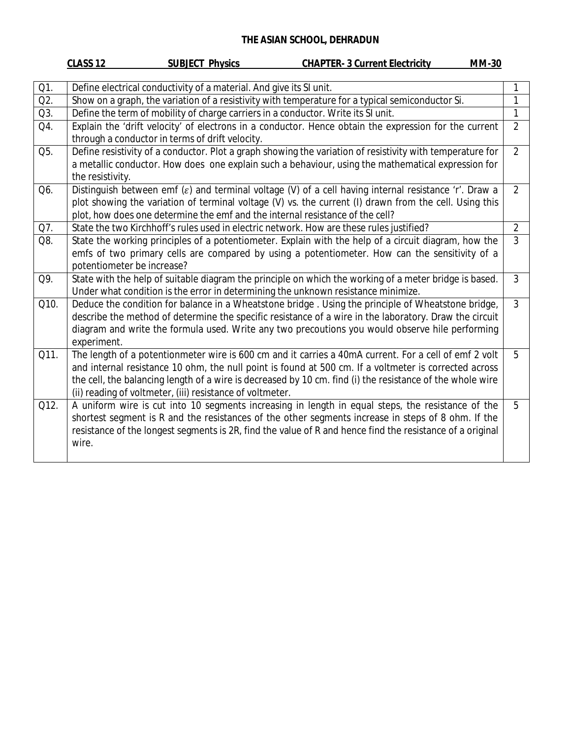|      | CLASS <sub>12</sub><br><b>SUBJECT Physics</b><br><b>CHAPTER- 3 Current Electricity</b><br><b>MM-30</b>                                                                                                          |                |
|------|-----------------------------------------------------------------------------------------------------------------------------------------------------------------------------------------------------------------|----------------|
|      |                                                                                                                                                                                                                 |                |
| Q1.  | Define electrical conductivity of a material. And give its SI unit.                                                                                                                                             |                |
| Q2.  | Show on a graph, the variation of a resistivity with temperature for a typical semiconductor Si.<br>1                                                                                                           |                |
| Q3.  | Define the term of mobility of charge carriers in a conductor. Write its SI unit.                                                                                                                               | 1              |
| Q4.  | Explain the 'drift velocity' of electrons in a conductor. Hence obtain the expression for the current<br>through a conductor in terms of drift velocity.                                                        | $\overline{2}$ |
| Q5.  | Define resistivity of a conductor. Plot a graph showing the variation of resistivity with temperature for                                                                                                       | $\overline{2}$ |
|      | a metallic conductor. How does one explain such a behaviour, using the mathematical expression for<br>the resistivity.                                                                                          |                |
| Q6.  | Distinguish between emf $(\varepsilon)$ and terminal voltage (V) of a cell having internal resistance 'r'. Draw a                                                                                               | $\overline{2}$ |
|      | plot showing the variation of terminal voltage (V) vs. the current (I) drawn from the cell. Using this<br>plot, how does one determine the emf and the internal resistance of the cell?                         |                |
| Q7.  | State the two Kirchhoff's rules used in electric network. How are these rules justified?                                                                                                                        | $\overline{2}$ |
| Q8.  | State the working principles of a potentiometer. Explain with the help of a circuit diagram, how the                                                                                                            | $\overline{3}$ |
|      | emfs of two primary cells are compared by using a potentiometer. How can the sensitivity of a                                                                                                                   |                |
|      | potentiometer be increase?                                                                                                                                                                                      |                |
| Q9.  | State with the help of suitable diagram the principle on which the working of a meter bridge is based.                                                                                                          | $\overline{3}$ |
|      | Under what condition is the error in determining the unknown resistance minimize.                                                                                                                               |                |
| Q10. | Deduce the condition for balance in a Wheatstone bridge. Using the principle of Wheatstone bridge,                                                                                                              | $\overline{3}$ |
|      | describe the method of determine the specific resistance of a wire in the laboratory. Draw the circuit                                                                                                          |                |
|      | diagram and write the formula used. Write any two precoutions you would observe hile performing<br>experiment.                                                                                                  |                |
| Q11. | The length of a potentionmeter wire is 600 cm and it carries a 40mA current. For a cell of emf 2 volt                                                                                                           | 5              |
|      | and internal resistance 10 ohm, the null point is found at 500 cm. If a voltmeter is corrected across                                                                                                           |                |
|      | the cell, the balancing length of a wire is decreased by 10 cm. find (i) the resistance of the whole wire                                                                                                       |                |
|      | (ii) reading of voltmeter, (iii) resistance of voltmeter.                                                                                                                                                       |                |
| Q12. | A uniform wire is cut into 10 segments increasing in length in equal steps, the resistance of the                                                                                                               | 5              |
|      | shortest segment is R and the resistances of the other segments increase in steps of 8 ohm. If the<br>resistance of the longest segments is 2R, find the value of R and hence find the resistance of a original |                |
|      | wire.                                                                                                                                                                                                           |                |
|      |                                                                                                                                                                                                                 |                |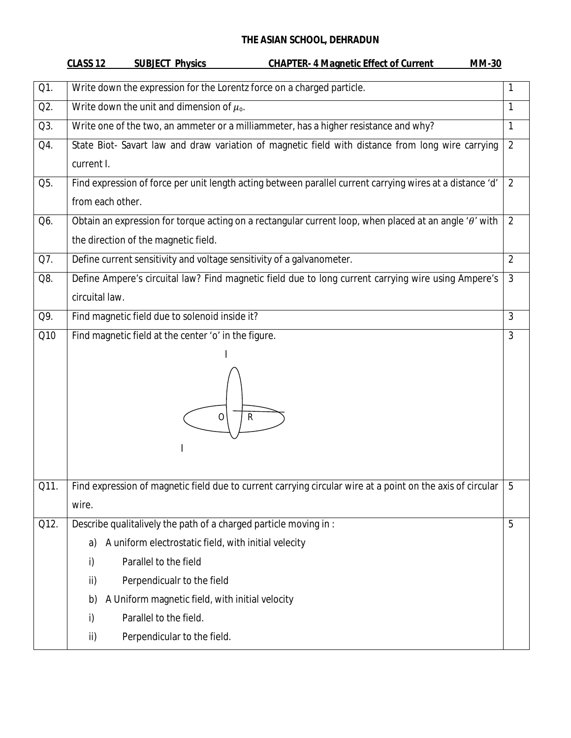|      | <b>CLASS 12</b><br><b>SUBJECT Physics</b><br><b>CHAPTER- 4 Magnetic Effect of Current</b><br><b>MM-30</b>       |                |
|------|-----------------------------------------------------------------------------------------------------------------|----------------|
| Q1.  | Write down the expression for the Lorentz force on a charged particle.                                          | $\mathbf{1}$   |
| Q2.  | Write down the unit and dimension of $\mu_{0}$ .                                                                | $\mathbf{1}$   |
| Q3.  | Write one of the two, an ammeter or a milliammeter, has a higher resistance and why?                            | $\mathbf{1}$   |
| Q4.  | State Biot- Savart law and draw variation of magnetic field with distance from long wire carrying               | $\overline{2}$ |
|      | current I.                                                                                                      |                |
| Q5.  | Find expression of force per unit length acting between parallel current carrying wires at a distance 'd'       | $\overline{2}$ |
|      | from each other.                                                                                                |                |
| Q6.  | Obtain an expression for torque acting on a rectangular current loop, when placed at an angle ' $\theta$ ' with | $\overline{2}$ |
|      | the direction of the magnetic field.                                                                            |                |
| Q7.  | Define current sensitivity and voltage sensitivity of a galvanometer.                                           | $\overline{2}$ |
| Q8.  | Define Ampere's circuital law? Find magnetic field due to long current carrying wire using Ampere's             | $\mathfrak{Z}$ |
|      | circuital law.                                                                                                  |                |
| Q9.  | Find magnetic field due to solenoid inside it?                                                                  | 3              |
| Q10  | Find magnetic field at the center 'o' in the figure.                                                            | $\overline{3}$ |
|      |                                                                                                                 |                |
|      |                                                                                                                 |                |
|      |                                                                                                                 |                |
|      | R<br>0                                                                                                          |                |
|      |                                                                                                                 |                |
|      |                                                                                                                 |                |
| Q11. | Find expression of magnetic field due to current carrying circular wire at a point on the axis of circular      | 5              |
|      | wire.                                                                                                           |                |
| Q12. | Describe qualitalively the path of a charged particle moving in :                                               | 5              |
|      | A uniform electrostatic field, with initial velecity<br>a)                                                      |                |
|      | Parallel to the field<br>i)                                                                                     |                |
|      | Perpendicualr to the field<br>ii)                                                                               |                |
|      | A Uniform magnetic field, with initial velocity<br>b)                                                           |                |
|      | Parallel to the field.<br>i)                                                                                    |                |
|      | ii)<br>Perpendicular to the field.                                                                              |                |
|      |                                                                                                                 |                |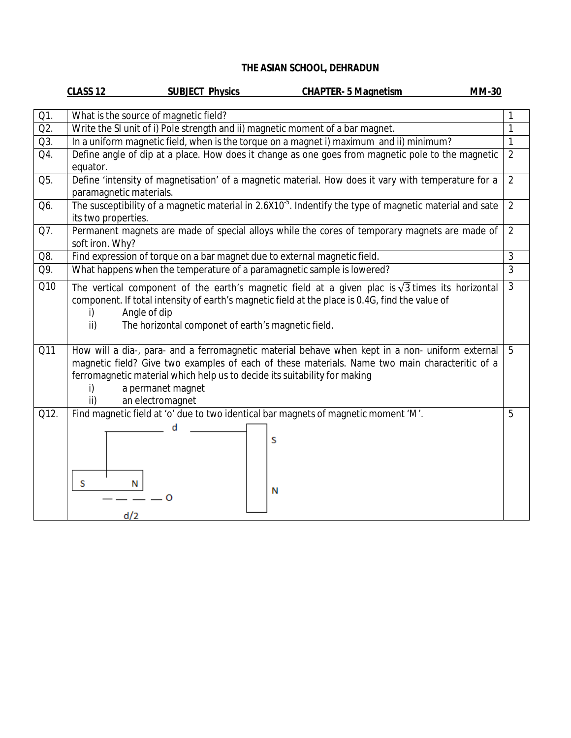|      | CLASS <sub>12</sub><br><b>MM-30</b><br><b>SUBJECT Physics</b><br><b>CHAPTER- 5 Magnetism</b>                                                                                                                                                                                                                                         |                |
|------|--------------------------------------------------------------------------------------------------------------------------------------------------------------------------------------------------------------------------------------------------------------------------------------------------------------------------------------|----------------|
| Q1.  | What is the source of magnetic field?                                                                                                                                                                                                                                                                                                | $\mathbf{1}$   |
| Q2.  | Write the SI unit of i) Pole strength and ii) magnetic moment of a bar magnet.                                                                                                                                                                                                                                                       | $\mathbf{1}$   |
| Q3.  | In a uniform magnetic field, when is the torque on a magnet i) maximum and ii) minimum?                                                                                                                                                                                                                                              | $\overline{1}$ |
| Q4.  | Define angle of dip at a place. How does it change as one goes from magnetic pole to the magnetic<br>equator.                                                                                                                                                                                                                        | $\overline{2}$ |
| Q5.  | Define 'intensity of magnetisation' of a magnetic material. How does it vary with temperature for a<br>paramagnetic materials.                                                                                                                                                                                                       | $\overline{2}$ |
| Q6.  | The susceptibility of a magnetic material in 2.6X10 <sup>-5</sup> . Indentify the type of magnetic material and sate<br>its two properties.                                                                                                                                                                                          | $\overline{2}$ |
| Q7.  | Permanent magnets are made of special alloys while the cores of temporary magnets are made of<br>soft iron. Why?                                                                                                                                                                                                                     | $\overline{2}$ |
| Q8.  | Find expression of torque on a bar magnet due to external magnetic field.                                                                                                                                                                                                                                                            | $\overline{3}$ |
| Q9.  | What happens when the temperature of a paramagnetic sample is lowered?                                                                                                                                                                                                                                                               | $\overline{3}$ |
| Q10  | The vertical component of the earth's magnetic field at a given plac is $\sqrt{3}$ times its horizontal<br>component. If total intensity of earth's magnetic field at the place is 0.4G, find the value of<br>Angle of dip<br>i)<br>$\mathsf{ii}$<br>The horizontal componet of earth's magnetic field.                              | $\overline{3}$ |
| Q11  | How will a dia-, para- and a ferromagnetic material behave when kept in a non- uniform external<br>magnetic field? Give two examples of each of these materials. Name two main characteritic of a<br>ferromagnetic material which help us to decide its suitability for making<br>a permanet magnet<br>i)<br>ii)<br>an electromagnet | 5              |
| Q12. | Find magnetic field at 'o' due to two identical bar magnets of magnetic moment 'M'.<br>S<br>S<br>N<br>N<br>Ω<br>d/2                                                                                                                                                                                                                  | 5              |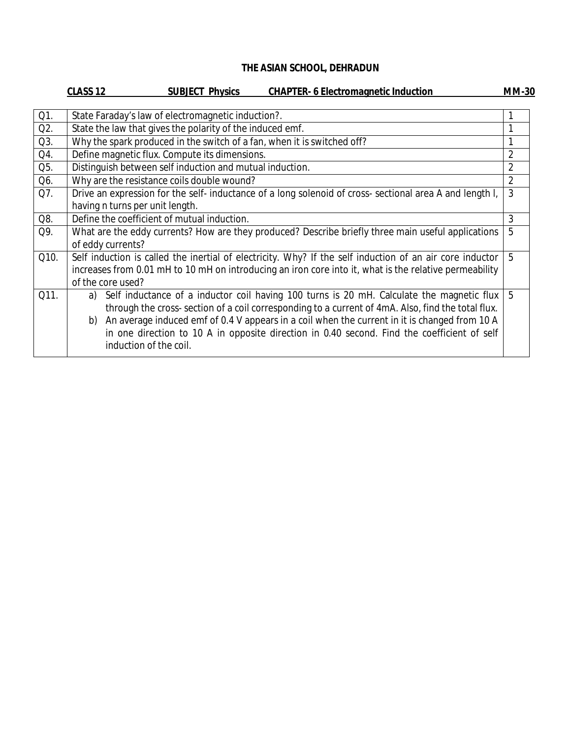|      | CLASS <sub>12</sub> | <b>SUBJECT Physics</b>                                                  | <b>CHAPTER- 6 Electromagnetic Induction</b>                                                              | <b>MM-30</b>   |
|------|---------------------|-------------------------------------------------------------------------|----------------------------------------------------------------------------------------------------------|----------------|
| Q1.  |                     | State Faraday's law of electromagnetic induction?.                      |                                                                                                          |                |
| Q2.  |                     | State the law that gives the polarity of the induced emf.               |                                                                                                          |                |
| Q3.  |                     | Why the spark produced in the switch of a fan, when it is switched off? |                                                                                                          |                |
| Q4.  |                     | Define magnetic flux. Compute its dimensions.                           |                                                                                                          | $\overline{2}$ |
| Q5.  |                     | Distinguish between self induction and mutual induction.                |                                                                                                          | $\overline{2}$ |
| Q6.  |                     | Why are the resistance coils double wound?                              |                                                                                                          | $\overline{2}$ |
| Q7.  |                     |                                                                         | Drive an expression for the self-inductance of a long solenoid of cross-sectional area A and length I,   | 3              |
|      |                     | having n turns per unit length.                                         |                                                                                                          |                |
| Q8.  |                     | Define the coefficient of mutual induction.                             |                                                                                                          | 3              |
| Q9.  |                     |                                                                         | What are the eddy currents? How are they produced? Describe briefly three main useful applications       | 5              |
|      |                     | of eddy currents?                                                       |                                                                                                          |                |
| Q10. |                     |                                                                         | Self induction is called the inertial of electricity. Why? If the self induction of an air core inductor | 5              |
|      |                     |                                                                         | increases from 0.01 mH to 10 mH on introducing an iron core into it, what is the relative permeability   |                |
|      |                     | of the core used?                                                       |                                                                                                          |                |
| Q11. | a)                  |                                                                         | Self inductance of a inductor coil having 100 turns is 20 mH. Calculate the magnetic flux                | 5              |
|      |                     |                                                                         | through the cross-section of a coil corresponding to a current of 4mA. Also, find the total flux.        |                |
|      | b)                  |                                                                         | An average induced emf of 0.4 V appears in a coil when the current in it is changed from 10 A            |                |
|      |                     |                                                                         | in one direction to 10 A in opposite direction in 0.40 second. Find the coefficient of self              |                |
|      |                     | induction of the coil.                                                  |                                                                                                          |                |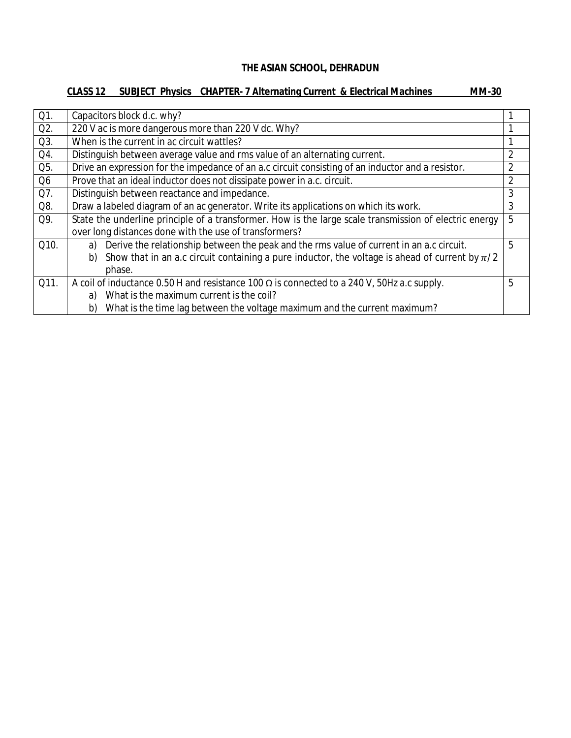## **CLASS 12 SUBJECT Physics CHAPTER- 7 Alternating Current & Electrical Machines MM-30**

| Q1.            | Capacitors block d.c. why?                                                                               |                |
|----------------|----------------------------------------------------------------------------------------------------------|----------------|
| Q2.            | 220 V ac is more dangerous more than 220 V dc. Why?                                                      |                |
| Q3.            | When is the current in ac circuit wattles?                                                               |                |
| Q4.            | Distinguish between average value and rms value of an alternating current.                               | $\overline{2}$ |
| Q5.            | Drive an expression for the impedance of an a.c circuit consisting of an inductor and a resistor.        | 2              |
| Q <sub>6</sub> | Prove that an ideal inductor does not dissipate power in a.c. circuit.                                   | 2              |
| Q7.            | Distinguish between reactance and impedance.                                                             | 3              |
| Q8.            | Draw a labeled diagram of an ac generator. Write its applications on which its work.                     | 3              |
| Q9.            | State the underline principle of a transformer. How is the large scale transmission of electric energy   | 5              |
|                | over long distances done with the use of transformers?                                                   |                |
| Q10.           | Derive the relationship between the peak and the rms value of current in an a.c circuit.<br>a)           | 5              |
|                | Show that in an a.c circuit containing a pure inductor, the voltage is ahead of current by $\pi/2$<br>b) |                |
|                | phase.                                                                                                   |                |
| Q11.           | A coil of inductance 0.50 H and resistance 100 $\Omega$ is connected to a 240 V, 50Hz a.c supply.        | 5              |
|                | What is the maximum current is the coil?<br>a)                                                           |                |
|                | What is the time lag between the voltage maximum and the current maximum?<br>b)                          |                |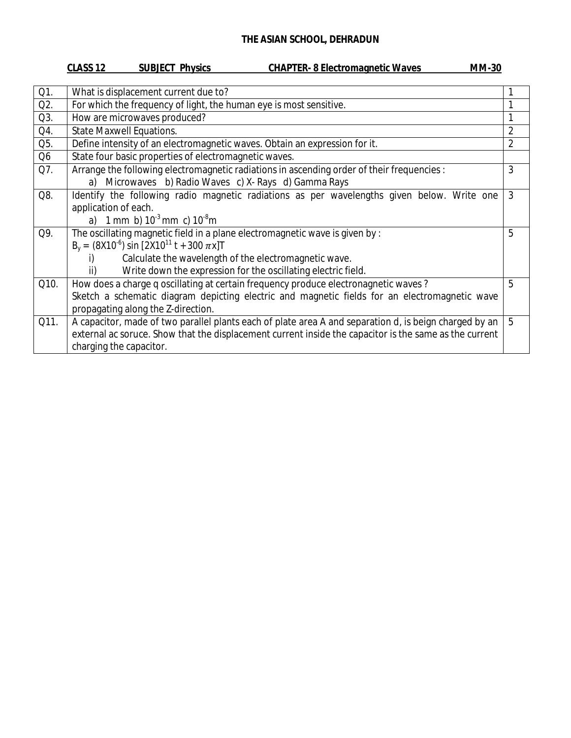| CLASS <sub>12</sub><br><b>SUBJECT Physics</b><br><b>CHAPTER-8 Electromagnetic Waves</b> | <b>MM-30</b> |
|-----------------------------------------------------------------------------------------|--------------|
|                                                                                         |              |

| What is displacement current due to?                                                                   |                                                                                                                                                                                             |
|--------------------------------------------------------------------------------------------------------|---------------------------------------------------------------------------------------------------------------------------------------------------------------------------------------------|
| For which the frequency of light, the human eye is most sensitive.                                     |                                                                                                                                                                                             |
| How are microwaves produced?                                                                           |                                                                                                                                                                                             |
| <b>State Maxwell Equations.</b>                                                                        | $\overline{2}$                                                                                                                                                                              |
| Define intensity of an electromagnetic waves. Obtain an expression for it.                             | $\overline{2}$                                                                                                                                                                              |
| State four basic properties of electromagnetic waves.                                                  |                                                                                                                                                                                             |
|                                                                                                        | 3                                                                                                                                                                                           |
| a) Microwaves b) Radio Waves c) X- Rays d) Gamma Rays                                                  |                                                                                                                                                                                             |
| Identify the following radio magnetic radiations as per wavelengths given below. Write one             | 3                                                                                                                                                                                           |
| application of each.                                                                                   |                                                                                                                                                                                             |
|                                                                                                        |                                                                                                                                                                                             |
| The oscillating magnetic field in a plane electromagnetic wave is given by :                           | 5                                                                                                                                                                                           |
|                                                                                                        |                                                                                                                                                                                             |
| Calculate the wavelength of the electromagnetic wave.                                                  |                                                                                                                                                                                             |
| Write down the expression for the oscillating electric field.                                          |                                                                                                                                                                                             |
| How does a charge q oscillating at certain frequency produce electronagnetic waves?                    | 5                                                                                                                                                                                           |
| Sketch a schematic diagram depicting electric and magnetic fields for an electromagnetic wave          |                                                                                                                                                                                             |
| propagating along the Z-direction.                                                                     |                                                                                                                                                                                             |
| A capacitor, made of two parallel plants each of plate area A and separation d, is beign charged by an | 5                                                                                                                                                                                           |
| external ac soruce. Show that the displacement current inside the capacitor is the same as the current |                                                                                                                                                                                             |
| charging the capacitor.                                                                                |                                                                                                                                                                                             |
|                                                                                                        | Arrange the following electromagnetic radiations in ascending order of their frequencies :<br>a) 1 mm b) $10^{-3}$ mm c) $10^{-8}$ m<br>$B_v = (8X10^{-6}) \sin [2X10^{11} t + 300 \pi x]T$ |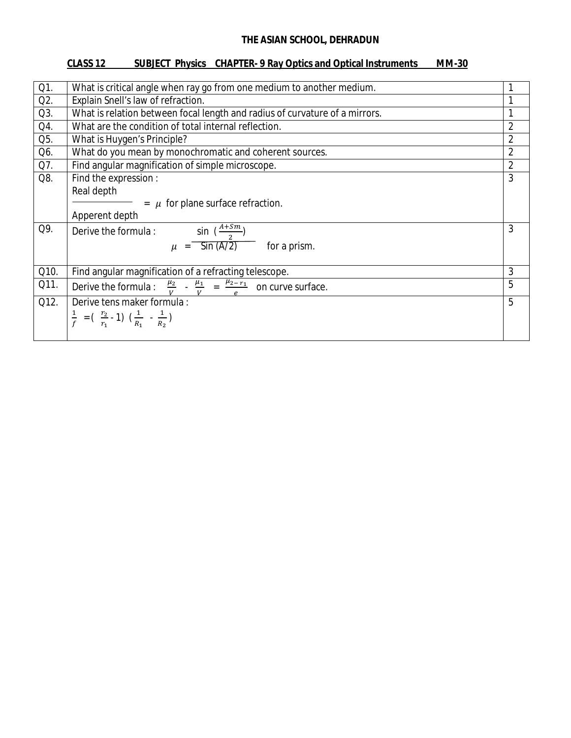## **CLASS 12 SUBJECT Physics CHAPTER- 9 Ray Optics and Optical Instruments MM-30**

| Q1.  | What is critical angle when ray go from one medium to another medium.                                                           |                |
|------|---------------------------------------------------------------------------------------------------------------------------------|----------------|
| Q2.  | Explain Snell's law of refraction.<br>1                                                                                         |                |
| Q3.  | What is relation between focal length and radius of curvature of a mirrors.                                                     |                |
| Q4.  | What are the condition of total internal reflection.                                                                            | $\overline{2}$ |
| Q5.  | What is Huygen's Principle?                                                                                                     | $\overline{2}$ |
| Q6.  | What do you mean by monochromatic and coherent sources.                                                                         | $\overline{2}$ |
| Q7.  | Find angular magnification of simple microscope.                                                                                | $\overline{2}$ |
| Q8.  | Find the expression :                                                                                                           | 3              |
|      | Real depth                                                                                                                      |                |
|      | $=$ $\mu$ for plane surface refraction.                                                                                         |                |
|      | Apperent depth                                                                                                                  |                |
| Q9.  | sin $\left(\frac{A+Sm}{2}\right)$<br>Derive the formula:                                                                        | 3              |
|      | $\mu = \frac{1}{\sin(A/\bar{2})}$ for a prism.                                                                                  |                |
|      |                                                                                                                                 |                |
| Q10. | Find angular magnification of a refracting telescope.                                                                           | 3              |
| Q11. | Derive the formula : $\frac{\mu_2}{V} - \frac{\mu_1}{V} = \frac{\mu_{2-r_1}}{e}$ on curve surface.                              | 5              |
| Q12. | Derive tens maker formula :                                                                                                     | 5              |
|      | $\frac{1}{f}$ = $\left(\begin{array}{c} \frac{r_2}{r_1} \\ -1 \end{array}\right) \left(\frac{1}{R_1} \\ -\frac{1}{R_2} \right)$ |                |
|      |                                                                                                                                 |                |
|      |                                                                                                                                 |                |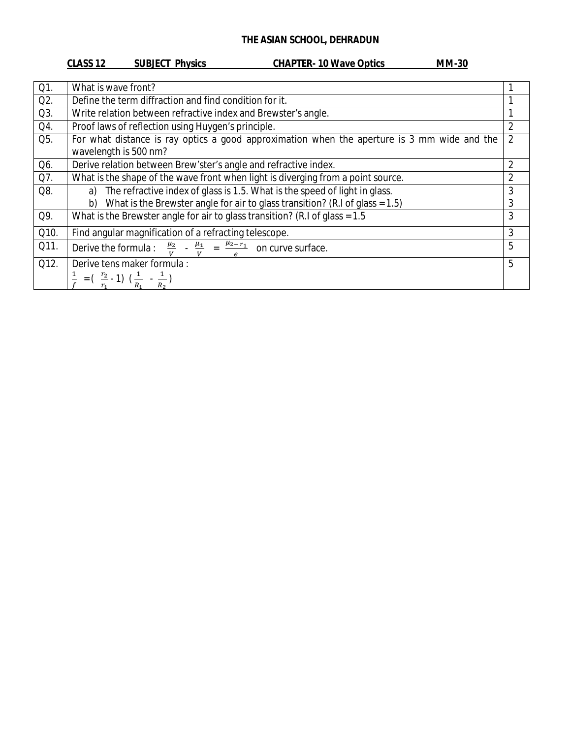### CLASS 12 SUBJECT Physics CHAPTER-10 Wave Optics

| Q1.  | What is wave front?                                                                                              |                |
|------|------------------------------------------------------------------------------------------------------------------|----------------|
| Q2.  | Define the term diffraction and find condition for it.                                                           |                |
| Q3.  | Write relation between refractive index and Brewster's angle.                                                    |                |
| Q4.  | Proof laws of reflection using Huygen's principle.                                                               | $\overline{2}$ |
| Q5.  | For what distance is ray optics a good approximation when the aperture is 3 mm wide and the                      | $\overline{2}$ |
|      | wavelength is 500 nm?                                                                                            |                |
| Q6.  | Derive relation between Brew'ster's angle and refractive index.                                                  | $\mathfrak{D}$ |
| Q7.  | What is the shape of the wave front when light is diverging from a point source.                                 | $\overline{2}$ |
| Q8.  | The refractive index of glass is 1.5. What is the speed of light in glass.<br>a)                                 | 3              |
|      | What is the Brewster angle for air to glass transition? (R.I of glass = $1.5$ )<br>b)                            | 3              |
| Q9.  | What is the Brewster angle for air to glass transition? (R.I of glass = $1.5$ )                                  | 3              |
| Q10. | Find angular magnification of a refracting telescope.                                                            | 3              |
| Q11. | Derive the formula : $\frac{\mu_2}{v}$ - $\frac{\mu_1}{v}$ = $\frac{\mu_{2-r_1}}{a}$ on curve surface.           | 5              |
| Q12. | Derive tens maker formula :                                                                                      | 5              |
|      | $= \left(\begin{array}{c} \frac{r_2}{r_1} \\ 1 \end{array}\right) \left(\frac{1}{R_1} \\ - \frac{1}{R_2}\right)$ |                |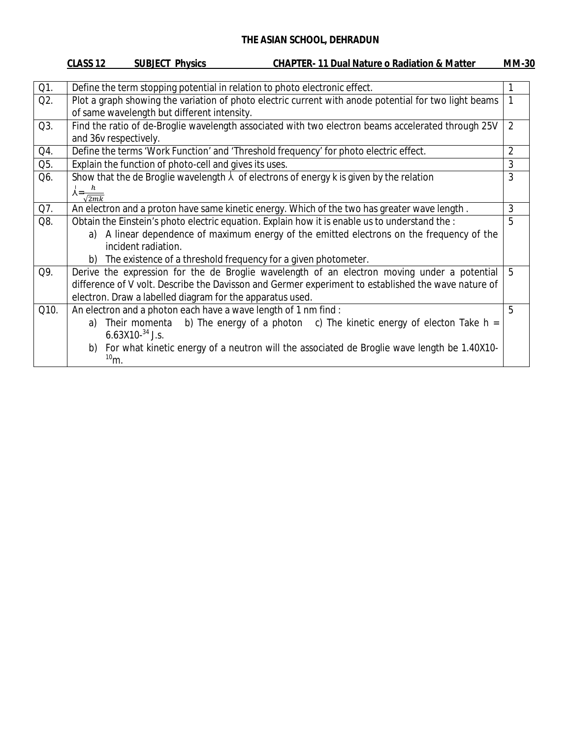|      | CLASS 12<br><b>SUBJECT Physics</b><br><b>CHAPTER-11 Dual Nature o Radiation &amp; Matter</b>                                                                                                                                                                    | <b>MM-30</b>   |  |
|------|-----------------------------------------------------------------------------------------------------------------------------------------------------------------------------------------------------------------------------------------------------------------|----------------|--|
|      |                                                                                                                                                                                                                                                                 |                |  |
| Q1.  | Define the term stopping potential in relation to photo electronic effect.                                                                                                                                                                                      |                |  |
| Q2.  | Plot a graph showing the variation of photo electric current with anode potential for two light beams<br>of same wavelength but different intensity.                                                                                                            |                |  |
| Q3.  | Find the ratio of de-Broglie wavelength associated with two electron beams accelerated through 25V<br>and 36v respectively.                                                                                                                                     |                |  |
| Q4.  | Define the terms 'Work Function' and 'Threshold frequency' for photo electric effect.                                                                                                                                                                           | $\overline{2}$ |  |
| Q5.  | Explain the function of photo-cell and gives its uses.                                                                                                                                                                                                          | 3              |  |
| Q6.  | Show that the de Broglie wavelength $\lambda$ of electrons of energy k is given by the relation<br>$\lambda = \frac{h}{\sqrt{2mk}}$                                                                                                                             | 3              |  |
| Q7.  | An electron and a proton have same kinetic energy. Which of the two has greater wave length.                                                                                                                                                                    | 3              |  |
| Q8.  | Obtain the Einstein's photo electric equation. Explain how it is enable us to understand the :                                                                                                                                                                  | 5              |  |
|      | a) A linear dependence of maximum energy of the emitted electrons on the frequency of the<br>incident radiation.                                                                                                                                                |                |  |
|      | b) The existence of a threshold frequency for a given photometer.                                                                                                                                                                                               |                |  |
| Q9.  | Derive the expression for the de Broglie wavelength of an electron moving under a potential<br>difference of V volt. Describe the Davisson and Germer experiment to established the wave nature of<br>electron. Draw a labelled diagram for the apparatus used. | 5              |  |
| Q10. | An electron and a photon each have a wave length of 1 nm find :                                                                                                                                                                                                 | 5              |  |
|      | Their momenta b) The energy of a photon c) The kinetic energy of electon Take $h =$<br>a)<br>6.63X10- $34$ J.s.                                                                                                                                                 |                |  |
|      | b) For what kinetic energy of a neutron will the associated de Broglie wave length be 1.40X10-<br>$10m$ .                                                                                                                                                       |                |  |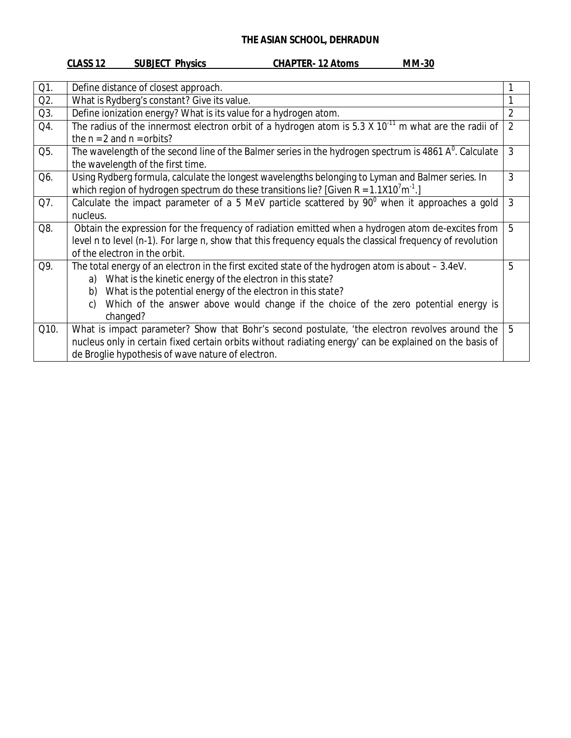## **CLASS 12 SUBJECT Physics CHAPTER- 12 Atoms MM-30**

| Define distance of closest approach.                                                                       |                                                                                                                                                                                                                                                                                                                                      |
|------------------------------------------------------------------------------------------------------------|--------------------------------------------------------------------------------------------------------------------------------------------------------------------------------------------------------------------------------------------------------------------------------------------------------------------------------------|
| What is Rydberg's constant? Give its value.                                                                |                                                                                                                                                                                                                                                                                                                                      |
| Define ionization energy? What is its value for a hydrogen atom.                                           | $\overline{2}$                                                                                                                                                                                                                                                                                                                       |
| The radius of the innermost electron orbit of a hydrogen atom is 5.3 X $10^{-11}$ m what are the radii of  | $\overline{2}$                                                                                                                                                                                                                                                                                                                       |
| the $n = 2$ and $n =$ orbits?                                                                              |                                                                                                                                                                                                                                                                                                                                      |
|                                                                                                            | $\mathfrak{Z}$                                                                                                                                                                                                                                                                                                                       |
| the wavelength of the first time.                                                                          |                                                                                                                                                                                                                                                                                                                                      |
| Using Rydberg formula, calculate the longest wavelengths belonging to Lyman and Balmer series. In          | 3                                                                                                                                                                                                                                                                                                                                    |
|                                                                                                            |                                                                                                                                                                                                                                                                                                                                      |
|                                                                                                            | 3                                                                                                                                                                                                                                                                                                                                    |
| nucleus.                                                                                                   |                                                                                                                                                                                                                                                                                                                                      |
| Obtain the expression for the frequency of radiation emitted when a hydrogen atom de-excites from          | 5                                                                                                                                                                                                                                                                                                                                    |
| level n to level (n-1). For large n, show that this frequency equals the classical frequency of revolution |                                                                                                                                                                                                                                                                                                                                      |
|                                                                                                            |                                                                                                                                                                                                                                                                                                                                      |
| The total energy of an electron in the first excited state of the hydrogen atom is about – 3.4eV.          | 5                                                                                                                                                                                                                                                                                                                                    |
| What is the kinetic energy of the electron in this state?<br>a)                                            |                                                                                                                                                                                                                                                                                                                                      |
| What is the potential energy of the electron in this state?<br>b)                                          |                                                                                                                                                                                                                                                                                                                                      |
| Which of the answer above would change if the choice of the zero potential energy is<br>C)                 |                                                                                                                                                                                                                                                                                                                                      |
| changed?                                                                                                   |                                                                                                                                                                                                                                                                                                                                      |
| What is impact parameter? Show that Bohr's second postulate, 'the electron revolves around the             | 5                                                                                                                                                                                                                                                                                                                                    |
| nucleus only in certain fixed certain orbits without radiating energy' can be explained on the basis of    |                                                                                                                                                                                                                                                                                                                                      |
| de Broglie hypothesis of wave nature of electron.                                                          |                                                                                                                                                                                                                                                                                                                                      |
|                                                                                                            | The wavelength of the second line of the Balmer series in the hydrogen spectrum is 4861 $A0$ . Calculate<br>which region of hydrogen spectrum do these transitions lie? [Given R = $1.1X107m-1$ .]<br>Calculate the impact parameter of a 5 MeV particle scattered by 90° when it approaches a gold<br>of the electron in the orbit. |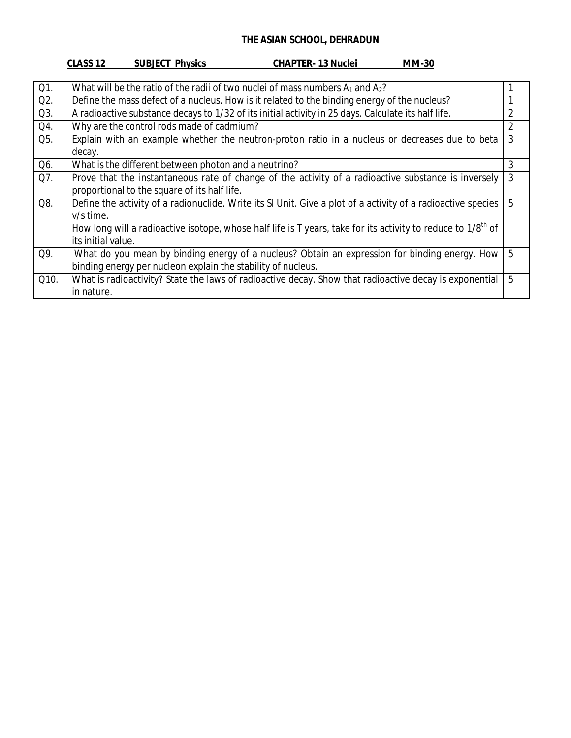|        | <b>CLASS 12</b><br><b>SUBJECT Physics</b><br><b>CHAPTER-13 Nuclei</b><br><b>MM-30</b>                             |                |
|--------|-------------------------------------------------------------------------------------------------------------------|----------------|
|        |                                                                                                                   |                |
| $Q1$ . | What will be the ratio of the radii of two nuclei of mass numbers $A_1$ and $A_2$ ?                               |                |
| Q2.    | Define the mass defect of a nucleus. How is it related to the binding energy of the nucleus?                      |                |
| Q3.    | A radioactive substance decays to 1/32 of its initial activity in 25 days. Calculate its half life.               | $\overline{2}$ |
| Q4.    | Why are the control rods made of cadmium?                                                                         | $\overline{2}$ |
| Q5.    | Explain with an example whether the neutron-proton ratio in a nucleus or decreases due to beta                    | 3              |
|        | decay.                                                                                                            |                |
| Q6.    | What is the different between photon and a neutrino?                                                              | 3              |
| Q7.    | Prove that the instantaneous rate of change of the activity of a radioactive substance is inversely               | 3              |
|        | proportional to the square of its half life.                                                                      |                |
| Q8.    | Define the activity of a radionuclide. Write its SI Unit. Give a plot of a activity of a radioactive species      | 5              |
|        | v/s time.                                                                                                         |                |
|        | How long will a radioactive isotope, whose half life is T years, take for its activity to reduce to $1/8^{th}$ of |                |
|        | its initial value.                                                                                                |                |
| Q9.    | What do you mean by binding energy of a nucleus? Obtain an expression for binding energy. How                     | 5              |
|        | binding energy per nucleon explain the stability of nucleus.                                                      |                |
| Q10.   | What is radioactivity? State the laws of radioactive decay. Show that radioactive decay is exponential            | 5              |
|        | in nature.                                                                                                        |                |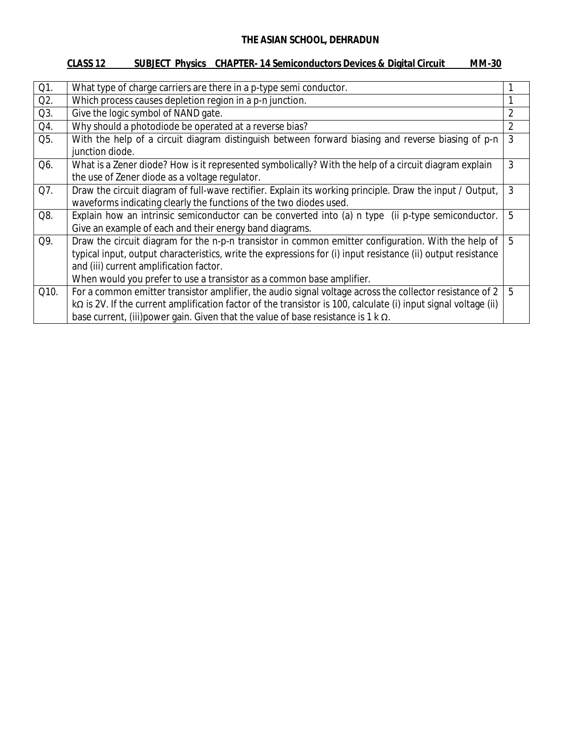## **CLASS 12 SUBJECT Physics CHAPTER- 14 Semiconductors Devices & Digital Circuit MM-30**

| Q1.  | What type of charge carriers are there in a p-type semi conductor.                                                                                                                                                                                                                                                                        |                |
|------|-------------------------------------------------------------------------------------------------------------------------------------------------------------------------------------------------------------------------------------------------------------------------------------------------------------------------------------------|----------------|
| Q2.  | Which process causes depletion region in a p-n junction.                                                                                                                                                                                                                                                                                  |                |
| Q3.  | Give the logic symbol of NAND gate.                                                                                                                                                                                                                                                                                                       | $\overline{2}$ |
| Q4.  | Why should a photodiode be operated at a reverse bias?                                                                                                                                                                                                                                                                                    | $\overline{2}$ |
| Q5.  | With the help of a circuit diagram distinguish between forward biasing and reverse biasing of p-n<br>junction diode.                                                                                                                                                                                                                      | 3              |
| Q6.  | What is a Zener diode? How is it represented symbolically? With the help of a circuit diagram explain<br>the use of Zener diode as a voltage regulator.                                                                                                                                                                                   | 3              |
| Q7.  | Draw the circuit diagram of full-wave rectifier. Explain its working principle. Draw the input / Output,<br>waveforms indicating clearly the functions of the two diodes used.                                                                                                                                                            | 3              |
| Q8.  | Explain how an intrinsic semiconductor can be converted into (a) n type (ii p-type semiconductor.<br>Give an example of each and their energy band diagrams.                                                                                                                                                                              | 5              |
| Q9.  | Draw the circuit diagram for the n-p-n transistor in common emitter configuration. With the help of<br>typical input, output characteristics, write the expressions for (i) input resistance (ii) output resistance<br>and (iii) current amplification factor.<br>When would you prefer to use a transistor as a common base amplifier.   | 5              |
| Q10. | For a common emitter transistor amplifier, the audio signal voltage across the collector resistance of 2<br>k $\Omega$ is 2V. If the current amplification factor of the transistor is 100, calculate (i) input signal voltage (ii)<br>base current, (iii) power gain. Given that the value of base resistance is $1 \text{ k } \Omega$ . | 5              |